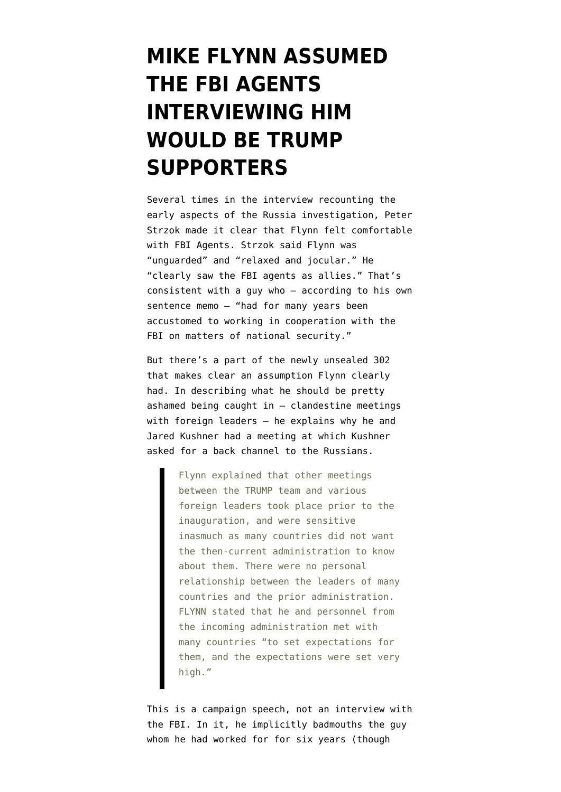## **[MIKE FLYNN ASSUMED](https://www.emptywheel.net/2019/06/06/flynn-assumed-the-fbi-agents-interviewing-him-would-be-trump-supporters/) [THE FBI AGENTS](https://www.emptywheel.net/2019/06/06/flynn-assumed-the-fbi-agents-interviewing-him-would-be-trump-supporters/) [INTERVIEWING HIM](https://www.emptywheel.net/2019/06/06/flynn-assumed-the-fbi-agents-interviewing-him-would-be-trump-supporters/) [WOULD BE TRUMP](https://www.emptywheel.net/2019/06/06/flynn-assumed-the-fbi-agents-interviewing-him-would-be-trump-supporters/) [SUPPORTERS](https://www.emptywheel.net/2019/06/06/flynn-assumed-the-fbi-agents-interviewing-him-would-be-trump-supporters/)**

Several times in the [interview](https://www.courtlistener.com/recap/gov.uscourts.dcd.191592/gov.uscourts.dcd.191592.77.0_4.pdf) recounting the early aspects of the Russia investigation, Peter Strzok made it clear that Flynn felt comfortable with FBI Agents. Strzok said Flynn was "unguarded" and "relaxed and jocular." He "clearly saw the FBI agents as allies." That's consistent with a guy who — [according to his own](https://www.emptywheel.net/wp-content/uploads/2018/12/181211-Flynn-Sentencing-Memo.pdf) [sentence memo](https://www.emptywheel.net/wp-content/uploads/2018/12/181211-Flynn-Sentencing-Memo.pdf) — "had for many years been accustomed to working in cooperation with the FBI on matters of national security."

But there's a part of the [newly unsealed 302](https://www.documentcloud.org/documents/6140195-190606-Flynn-302-Unredacted.html) that makes clear an assumption Flynn clearly had. In describing what he should be pretty ashamed being caught in — clandestine meetings with foreign leaders — he explains why he and Jared Kushner had a meeting at which Kushner asked for a back channel to the Russians.

> Flynn explained that other meetings between the TRUMP team and various foreign leaders took place prior to the inauguration, and were sensitive inasmuch as many countries did not want the then-current administration to know about them. There were no personal relationship between the leaders of many countries and the prior administration. FLYNN stated that he and personnel from the incoming administration met with many countries "to set expectations for them, and the expectations were set very high."

This is a campaign speech, not an interview with the FBI. In it, he implicitly badmouths the guy whom he had worked for for six years (though